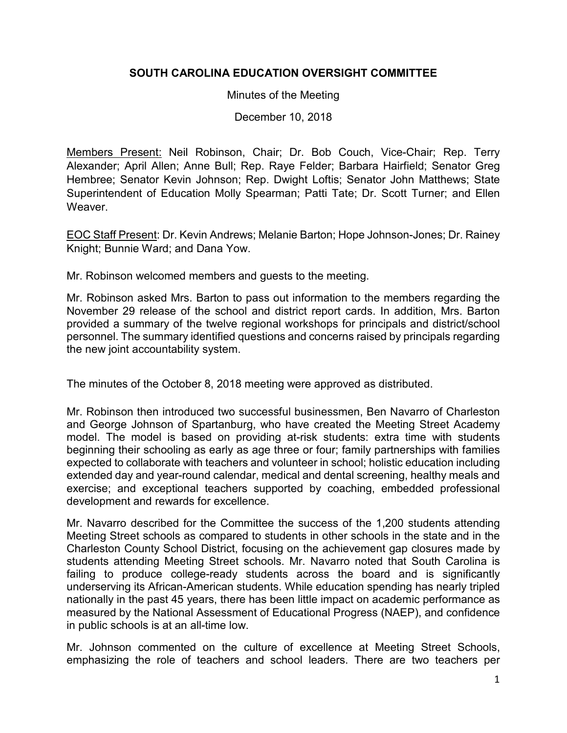## **SOUTH CAROLINA EDUCATION OVERSIGHT COMMITTEE**

## Minutes of the Meeting

December 10, 2018

Members Present: Neil Robinson, Chair; Dr. Bob Couch, Vice-Chair; Rep. Terry Alexander; April Allen; Anne Bull; Rep. Raye Felder; Barbara Hairfield; Senator Greg Hembree; Senator Kevin Johnson; Rep. Dwight Loftis; Senator John Matthews; State Superintendent of Education Molly Spearman; Patti Tate; Dr. Scott Turner; and Ellen Weaver.

EOC Staff Present: Dr. Kevin Andrews; Melanie Barton; Hope Johnson-Jones; Dr. Rainey Knight; Bunnie Ward; and Dana Yow.

Mr. Robinson welcomed members and guests to the meeting.

Mr. Robinson asked Mrs. Barton to pass out information to the members regarding the November 29 release of the school and district report cards. In addition, Mrs. Barton provided a summary of the twelve regional workshops for principals and district/school personnel. The summary identified questions and concerns raised by principals regarding the new joint accountability system.

The minutes of the October 8, 2018 meeting were approved as distributed.

Mr. Robinson then introduced two successful businessmen, Ben Navarro of Charleston and George Johnson of Spartanburg, who have created the Meeting Street Academy model. The model is based on providing at-risk students: extra time with students beginning their schooling as early as age three or four; family partnerships with families expected to collaborate with teachers and volunteer in school; holistic education including extended day and year-round calendar, medical and dental screening, healthy meals and exercise; and exceptional teachers supported by coaching, embedded professional development and rewards for excellence.

Mr. Navarro described for the Committee the success of the 1,200 students attending Meeting Street schools as compared to students in other schools in the state and in the Charleston County School District, focusing on the achievement gap closures made by students attending Meeting Street schools. Mr. Navarro noted that South Carolina is failing to produce college-ready students across the board and is significantly underserving its African-American students. While education spending has nearly tripled nationally in the past 45 years, there has been little impact on academic performance as measured by the National Assessment of Educational Progress (NAEP), and confidence in public schools is at an all-time low.

Mr. Johnson commented on the culture of excellence at Meeting Street Schools, emphasizing the role of teachers and school leaders. There are two teachers per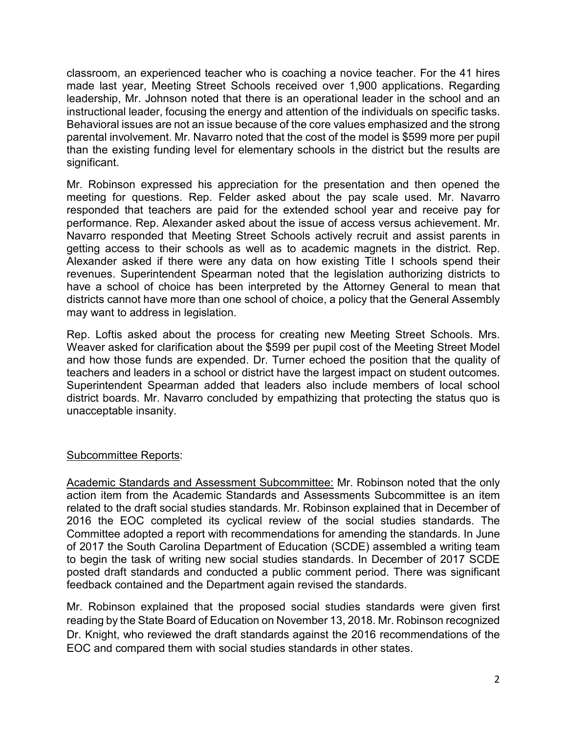classroom, an experienced teacher who is coaching a novice teacher. For the 41 hires made last year, Meeting Street Schools received over 1,900 applications. Regarding leadership, Mr. Johnson noted that there is an operational leader in the school and an instructional leader, focusing the energy and attention of the individuals on specific tasks. Behavioral issues are not an issue because of the core values emphasized and the strong parental involvement. Mr. Navarro noted that the cost of the model is \$599 more per pupil than the existing funding level for elementary schools in the district but the results are significant.

Mr. Robinson expressed his appreciation for the presentation and then opened the meeting for questions. Rep. Felder asked about the pay scale used. Mr. Navarro responded that teachers are paid for the extended school year and receive pay for performance. Rep. Alexander asked about the issue of access versus achievement. Mr. Navarro responded that Meeting Street Schools actively recruit and assist parents in getting access to their schools as well as to academic magnets in the district. Rep. Alexander asked if there were any data on how existing Title I schools spend their revenues. Superintendent Spearman noted that the legislation authorizing districts to have a school of choice has been interpreted by the Attorney General to mean that districts cannot have more than one school of choice, a policy that the General Assembly may want to address in legislation.

Rep. Loftis asked about the process for creating new Meeting Street Schools. Mrs. Weaver asked for clarification about the \$599 per pupil cost of the Meeting Street Model and how those funds are expended. Dr. Turner echoed the position that the quality of teachers and leaders in a school or district have the largest impact on student outcomes. Superintendent Spearman added that leaders also include members of local school district boards. Mr. Navarro concluded by empathizing that protecting the status quo is unacceptable insanity.

## Subcommittee Reports:

Academic Standards and Assessment Subcommittee: Mr. Robinson noted that the only action item from the Academic Standards and Assessments Subcommittee is an item related to the draft social studies standards. Mr. Robinson explained that in December of 2016 the EOC completed its cyclical review of the social studies standards. The Committee adopted a report with recommendations for amending the standards. In June of 2017 the South Carolina Department of Education (SCDE) assembled a writing team to begin the task of writing new social studies standards. In December of 2017 SCDE posted draft standards and conducted a public comment period. There was significant feedback contained and the Department again revised the standards.

Mr. Robinson explained that the proposed social studies standards were given first reading by the State Board of Education on November 13, 2018. Mr. Robinson recognized Dr. Knight, who reviewed the draft standards against the 2016 recommendations of the EOC and compared them with social studies standards in other states.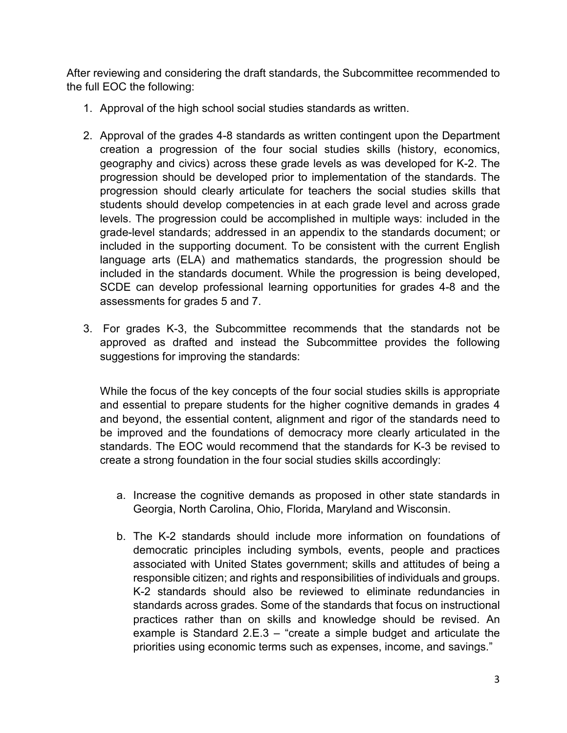After reviewing and considering the draft standards, the Subcommittee recommended to the full EOC the following:

- 1. Approval of the high school social studies standards as written.
- 2. Approval of the grades 4-8 standards as written contingent upon the Department creation a progression of the four social studies skills (history, economics, geography and civics) across these grade levels as was developed for K-2. The progression should be developed prior to implementation of the standards. The progression should clearly articulate for teachers the social studies skills that students should develop competencies in at each grade level and across grade levels. The progression could be accomplished in multiple ways: included in the grade-level standards; addressed in an appendix to the standards document; or included in the supporting document. To be consistent with the current English language arts (ELA) and mathematics standards, the progression should be included in the standards document. While the progression is being developed, SCDE can develop professional learning opportunities for grades 4-8 and the assessments for grades 5 and 7.
- 3. For grades K-3, the Subcommittee recommends that the standards not be approved as drafted and instead the Subcommittee provides the following suggestions for improving the standards:

While the focus of the key concepts of the four social studies skills is appropriate and essential to prepare students for the higher cognitive demands in grades 4 and beyond, the essential content, alignment and rigor of the standards need to be improved and the foundations of democracy more clearly articulated in the standards. The EOC would recommend that the standards for K-3 be revised to create a strong foundation in the four social studies skills accordingly:

- a. Increase the cognitive demands as proposed in other state standards in Georgia, North Carolina, Ohio, Florida, Maryland and Wisconsin.
- b. The K-2 standards should include more information on foundations of democratic principles including symbols, events, people and practices associated with United States government; skills and attitudes of being a responsible citizen; and rights and responsibilities of individuals and groups. K-2 standards should also be reviewed to eliminate redundancies in standards across grades. Some of the standards that focus on instructional practices rather than on skills and knowledge should be revised. An example is Standard 2.E.3 – "create a simple budget and articulate the priorities using economic terms such as expenses, income, and savings."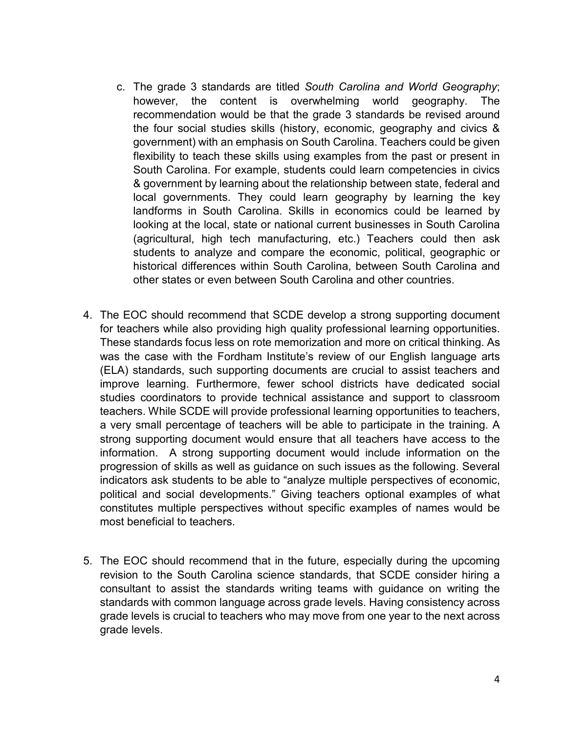- c. The grade 3 standards are titled *South Carolina and World Geography*; however, the content is overwhelming world geography. The recommendation would be that the grade 3 standards be revised around the four social studies skills (history, economic, geography and civics & government) with an emphasis on South Carolina. Teachers could be given flexibility to teach these skills using examples from the past or present in South Carolina. For example, students could learn competencies in civics & government by learning about the relationship between state, federal and local governments. They could learn geography by learning the key landforms in South Carolina. Skills in economics could be learned by looking at the local, state or national current businesses in South Carolina (agricultural, high tech manufacturing, etc.) Teachers could then ask students to analyze and compare the economic, political, geographic or historical differences within South Carolina, between South Carolina and other states or even between South Carolina and other countries.
- 4. The EOC should recommend that SCDE develop a strong supporting document for teachers while also providing high quality professional learning opportunities. These standards focus less on rote memorization and more on critical thinking. As was the case with the Fordham Institute's review of our English language arts (ELA) standards, such supporting documents are crucial to assist teachers and improve learning. Furthermore, fewer school districts have dedicated social studies coordinators to provide technical assistance and support to classroom teachers. While SCDE will provide professional learning opportunities to teachers, a very small percentage of teachers will be able to participate in the training. A strong supporting document would ensure that all teachers have access to the information. A strong supporting document would include information on the progression of skills as well as guidance on such issues as the following. Several indicators ask students to be able to "analyze multiple perspectives of economic, political and social developments." Giving teachers optional examples of what constitutes multiple perspectives without specific examples of names would be most beneficial to teachers.
- 5. The EOC should recommend that in the future, especially during the upcoming revision to the South Carolina science standards, that SCDE consider hiring a consultant to assist the standards writing teams with guidance on writing the standards with common language across grade levels. Having consistency across grade levels is crucial to teachers who may move from one year to the next across grade levels.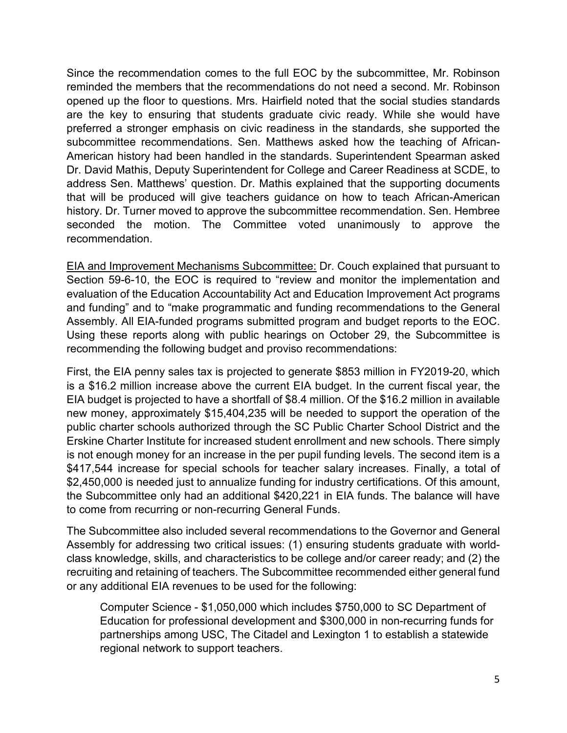Since the recommendation comes to the full EOC by the subcommittee, Mr. Robinson reminded the members that the recommendations do not need a second. Mr. Robinson opened up the floor to questions. Mrs. Hairfield noted that the social studies standards are the key to ensuring that students graduate civic ready. While she would have preferred a stronger emphasis on civic readiness in the standards, she supported the subcommittee recommendations. Sen. Matthews asked how the teaching of African-American history had been handled in the standards. Superintendent Spearman asked Dr. David Mathis, Deputy Superintendent for College and Career Readiness at SCDE, to address Sen. Matthews' question. Dr. Mathis explained that the supporting documents that will be produced will give teachers guidance on how to teach African-American history. Dr. Turner moved to approve the subcommittee recommendation. Sen. Hembree seconded the motion. The Committee voted unanimously to approve the recommendation.

EIA and Improvement Mechanisms Subcommittee: Dr. Couch explained that pursuant to Section 59-6-10, the EOC is required to "review and monitor the implementation and evaluation of the Education Accountability Act and Education Improvement Act programs and funding" and to "make programmatic and funding recommendations to the General Assembly. All EIA-funded programs submitted program and budget reports to the EOC. Using these reports along with public hearings on October 29, the Subcommittee is recommending the following budget and proviso recommendations:

First, the EIA penny sales tax is projected to generate \$853 million in FY2019-20, which is a \$16.2 million increase above the current EIA budget. In the current fiscal year, the EIA budget is projected to have a shortfall of \$8.4 million. Of the \$16.2 million in available new money, approximately \$15,404,235 will be needed to support the operation of the public charter schools authorized through the SC Public Charter School District and the Erskine Charter Institute for increased student enrollment and new schools. There simply is not enough money for an increase in the per pupil funding levels. The second item is a \$417,544 increase for special schools for teacher salary increases. Finally, a total of \$2,450,000 is needed just to annualize funding for industry certifications. Of this amount, the Subcommittee only had an additional \$420,221 in EIA funds. The balance will have to come from recurring or non-recurring General Funds.

The Subcommittee also included several recommendations to the Governor and General Assembly for addressing two critical issues: (1) ensuring students graduate with worldclass knowledge, skills, and characteristics to be college and/or career ready; and (2) the recruiting and retaining of teachers. The Subcommittee recommended either general fund or any additional EIA revenues to be used for the following:

Computer Science - \$1,050,000 which includes \$750,000 to SC Department of Education for professional development and \$300,000 in non-recurring funds for partnerships among USC, The Citadel and Lexington 1 to establish a statewide regional network to support teachers.